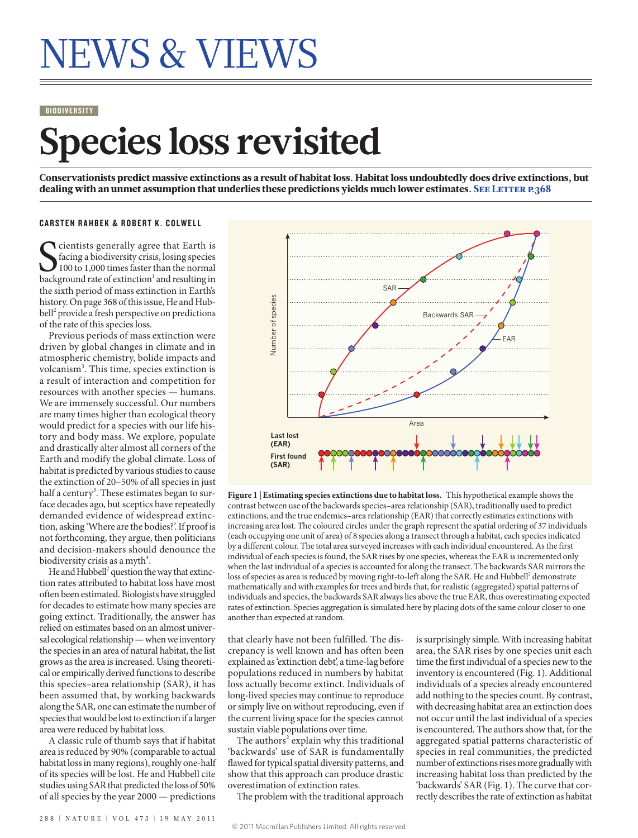# NEWS & VIEWS

#### **BIODIVERSITY**

## **Species loss revisited**

Conservationists predict massive extinctions as a result of habitat loss. Habitat loss undoubtedly does drive extinctions, but dealing with an unmet assumption that underlies these predictions yields much lower estimates. SEE LETTER P.368

#### CARSTEN RAHBEK & ROBERT K. COLWELL

Cientists generally agree that Earth is<br>
facing a biodiversity crisis, losing species<br>
100 to 1,000 times faster than the normal<br>
background rate of extinction<sup>1</sup> and resulting in cientists generally agree that Earth is facing a biodiversity crisis, losing species 100 to 1,000 times faster than the normal the sixth period of mass extinction in Earth's history. On page 368 of this issue, He and Hubbell<sup>2</sup> provide a fresh perspective on predictions of the rate of this species loss.

Previous periods of mass extinction were driven by global changes in climate and in atmospheric chemistry, bolide impacts and volcanism<sup>3</sup>. This time, species extinction is a result of interaction and competition for resources with another species — humans. We are immensely successful. Our numbers are many times higher than ecological theory would predict for a species with our life history and body mass. We explore, populate and drastically alter almost all corners of the Earth and modify the global climate. Loss of habitat is predicted by various studies to cause the extinction of 20–50% of all species in just half a century<sup>3</sup>. These estimates began to surface decades ago, but sceptics have repeatedly demanded evidence of widespread extinction, asking 'Where are the bodies?'. If proof is not forthcoming, they argue, then politicians and decision-makers should denounce the biodiversity crisis as a myth $^4$ .

He and Hubbell<sup>2</sup> question the way that extinction rates attributed to habitat loss have most often been estimated. Biologists have struggled for decades to estimate how many species are going extinct. Traditionally, the answer has relied on estimates based on an almost universal ecological relationship — when we inventory the species in an area of natural habitat, the list grows as the area is increased. Using theoretical or empirically derived functions to describe this species–area relationship (SAR), it has been assumed that, by working backwards along the SAR, one can estimate the number of species that would be lost to extinction if a larger area were reduced by habitat loss.

A classic rule of thumb says that if habitat area is reduced by 90% (comparable to actual habitat loss in many regions), roughly one-half of its species will be lost. He and Hubbell cite studies using SAR that predicted the loss of 50% of all species by the year 2000 — predictions



**Figure 1 | Estimating species extinctions due to habitat loss.** This hypothetical example shows the contrast between use of the backwards species–area relationship (SAR), traditionally used to predict extinctions, and the true endemics–area relationship (EAR) that correctly estimates extinctions with increasing area lost. The coloured circles under the graph represent the spatial ordering of 37 individuals (each occupying one unit of area) of 8 species along a transect through a habitat, each species indicated by a different colour. The total area surveyed increases with each individual encountered. As the first individual of each species is found, the SAR rises by one species, whereas the EAR is incremented only when the last individual of a species is accounted for along the transect. The backwards SAR mirrors the loss of species as area is reduced by moving right-to-left along the SAR. He and Hubbell $^2$  demonstrate mathematically and with examples for trees and birds that, for realistic (aggregated) spatial patterns of individuals and species, the backwards SAR always lies above the true EAR, thus overestimating expected rates of extinction. Species aggregation is simulated here by placing dots of the same colour closer to one another than expected at random.

that clearly have not been fulfilled. The discrepancy is well known and has often been explained as 'extinction debt', a time-lag before populations reduced in numbers by habitat loss actually become extinct. Individuals of long-lived species may continue to reproduce or simply live on without reproducing, even if the current living space for the species cannot sustain viable populations over time.

The authors<sup>2</sup> explain why this traditional 'backwards' use of SAR is fundamentally flawed for typical spatial diversity patterns, and show that this approach can produce drastic overestimation of extinction rates.

The problem with the traditional approach

area, the SAR rises by one species unit each time the first individual of a species new to the inventory is encountered (Fig. 1). Additional individuals of a species already encountered add nothing to the species count. By contrast, with decreasing habitat area an extinction does not occur until the last individual of a species is encountered. The authors show that, for the aggregated spatial patterns characteristic of species in real communities, the predicted number of extinctions rises more gradually with increasing habitat loss than predicted by the 'backwards' SAR (Fig. 1). The curve that correctly describes the rate of extinction as habitat

is surprisingly simple. With increasing habitat